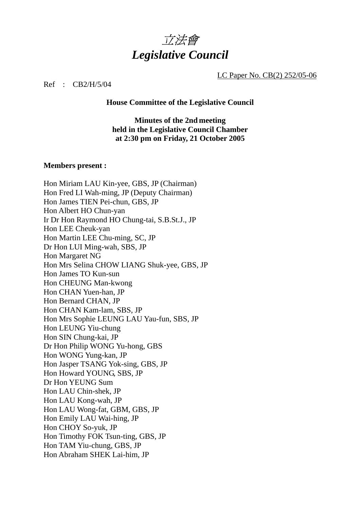

LC Paper No. CB(2) 252/05-06

Ref : CB2/H/5/04

**House Committee of the Legislative Council** 

**Minutes of the 2nd meeting held in the Legislative Council Chamber at 2:30 pm on Friday, 21 October 2005** 

#### **Members present :**

Hon Miriam LAU Kin-yee, GBS, JP (Chairman) Hon Fred LI Wah-ming, JP (Deputy Chairman) Hon James TIEN Pei-chun, GBS, JP Hon Albert HO Chun-yan Ir Dr Hon Raymond HO Chung-tai, S.B.St.J., JP Hon LEE Cheuk-yan Hon Martin LEE Chu-ming, SC, JP Dr Hon LUI Ming-wah, SBS, JP Hon Margaret NG Hon Mrs Selina CHOW LIANG Shuk-yee, GBS, JP Hon James TO Kun-sun Hon CHEUNG Man-kwong Hon CHAN Yuen-han, JP Hon Bernard CHAN, JP Hon CHAN Kam-lam, SBS, JP Hon Mrs Sophie LEUNG LAU Yau-fun, SBS, JP Hon LEUNG Yiu-chung Hon SIN Chung-kai, JP Dr Hon Philip WONG Yu-hong, GBS Hon WONG Yung-kan, JP Hon Jasper TSANG Yok-sing, GBS, JP Hon Howard YOUNG, SBS, JP Dr Hon YEUNG Sum Hon LAU Chin-shek, JP Hon LAU Kong-wah, JP Hon LAU Wong-fat, GBM, GBS, JP Hon Emily LAU Wai-hing, JP Hon CHOY So-yuk, JP Hon Timothy FOK Tsun-ting, GBS, JP Hon TAM Yiu-chung, GBS, JP Hon Abraham SHEK Lai-him, JP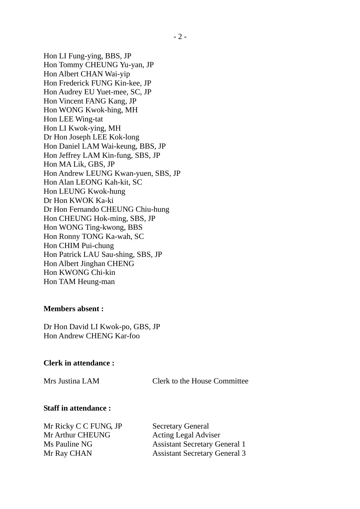Hon LI Fung-ying, BBS, JP Hon Tommy CHEUNG Yu-yan, JP Hon Albert CHAN Wai-yip Hon Frederick FUNG Kin-kee, JP Hon Audrey EU Yuet-mee, SC, JP Hon Vincent FANG Kang, JP Hon WONG Kwok-hing, MH Hon LEE Wing-tat Hon LI Kwok-ying, MH Dr Hon Joseph LEE Kok-long Hon Daniel LAM Wai-keung, BBS, JP Hon Jeffrey LAM Kin-fung, SBS, JP Hon MA Lik, GBS, JP Hon Andrew LEUNG Kwan-yuen, SBS, JP Hon Alan LEONG Kah-kit, SC Hon LEUNG Kwok-hung Dr Hon KWOK Ka-ki Dr Hon Fernando CHEUNG Chiu-hung Hon CHEUNG Hok-ming, SBS, JP Hon WONG Ting-kwong, BBS Hon Ronny TONG Ka-wah, SC Hon CHIM Pui-chung Hon Patrick LAU Sau-shing, SBS, JP Hon Albert Jinghan CHENG Hon KWONG Chi-kin Hon TAM Heung-man

#### **Members absent :**

Dr Hon David LI Kwok-po, GBS, JP Hon Andrew CHENG Kar-foo

#### **Clerk in attendance :**

Mrs Justina LAM Clerk to the House Committee

#### **Staff in attendance :**

Mr Ricky C C FUNG, JP Secretary General Mr Arthur CHEUNG Acting Legal Adviser

Ms Pauline NG Assistant Secretary General 1 Mr Ray CHAN Assistant Secretary General 3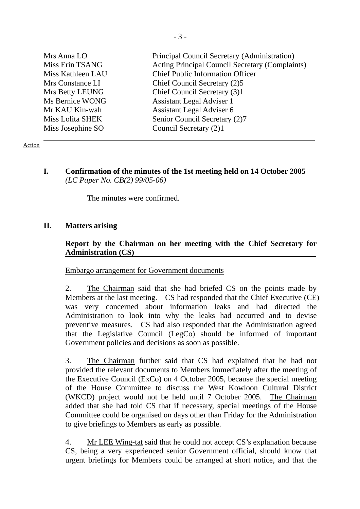| Mrs Anna LO<br>Miss Erin TSANG<br>Miss Kathleen LAU<br>Mrs Constance LI<br>Mrs Betty LEUNG<br>Ms Bernice WONG<br>Mr KAU Kin-wah<br>Miss Lolita SHEK | Principal Council Secretary (Administration)<br>Acting Principal Council Secretary (Complaints)<br><b>Chief Public Information Officer</b><br>Chief Council Secretary (2)5<br>Chief Council Secretary (3)1<br><b>Assistant Legal Adviser 1</b><br>Assistant Legal Adviser 6<br>Senior Council Secretary (2)7 |
|-----------------------------------------------------------------------------------------------------------------------------------------------------|--------------------------------------------------------------------------------------------------------------------------------------------------------------------------------------------------------------------------------------------------------------------------------------------------------------|
| Miss Josephine SO                                                                                                                                   | Council Secretary (2)1                                                                                                                                                                                                                                                                                       |
|                                                                                                                                                     |                                                                                                                                                                                                                                                                                                              |

#### Action

**I. Confirmation of the minutes of the 1st meeting held on 14 October 2005**   *(LC Paper No. CB(2) 99/05-06)* 

The minutes were confirmed.

### **II. Matters arising**

### **Report by the Chairman on her meeting with the Chief Secretary for Administration (CS)**

#### Embargo arrangement for Government documents

2. The Chairman said that she had briefed CS on the points made by Members at the last meeting. CS had responded that the Chief Executive (CE) was very concerned about information leaks and had directed the Administration to look into why the leaks had occurred and to devise preventive measures. CS had also responded that the Administration agreed that the Legislative Council (LegCo) should be informed of important Government policies and decisions as soon as possible.

3. The Chairman further said that CS had explained that he had not provided the relevant documents to Members immediately after the meeting of the Executive Council (ExCo) on 4 October 2005, because the special meeting of the House Committee to discuss the West Kowloon Cultural District (WKCD) project would not be held until 7 October 2005. The Chairman added that she had told CS that if necessary, special meetings of the House Committee could be organised on days other than Friday for the Administration to give briefings to Members as early as possible.

4. Mr LEE Wing-tat said that he could not accept CS's explanation because CS, being a very experienced senior Government official, should know that urgent briefings for Members could be arranged at short notice, and that the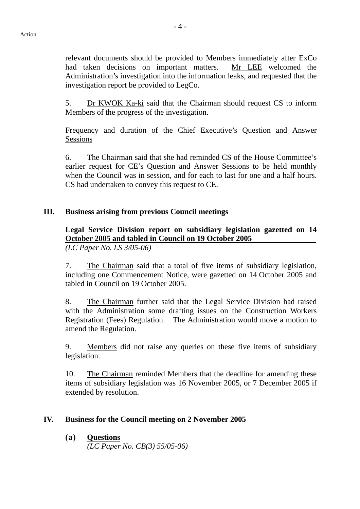relevant documents should be provided to Members immediately after ExCo had taken decisions on important matters. Mr LEE welcomed the Administration's investigation into the information leaks, and requested that the investigation report be provided to LegCo.

5. Dr KWOK Ka-ki said that the Chairman should request CS to inform Members of the progress of the investigation.

Frequency and duration of the Chief Executive's Question and Answer Sessions

6. The Chairman said that she had reminded CS of the House Committee's earlier request for CE's Question and Answer Sessions to be held monthly when the Council was in session, and for each to last for one and a half hours. CS had undertaken to convey this request to CE.

## **III. Business arising from previous Council meetings**

## **Legal Service Division report on subsidiary legislation gazetted on 14 October 2005 and tabled in Council on 19 October 2005**

*(LC Paper No. LS 3/05-06)* 

7. The Chairman said that a total of five items of subsidiary legislation, including one Commencement Notice, were gazetted on 14 October 2005 and tabled in Council on 19 October 2005.

8. The Chairman further said that the Legal Service Division had raised with the Administration some drafting issues on the Construction Workers Registration (Fees) Regulation. The Administration would move a motion to amend the Regulation.

9. Members did not raise any queries on these five items of subsidiary legislation.

10. The Chairman reminded Members that the deadline for amending these items of subsidiary legislation was 16 November 2005, or 7 December 2005 if extended by resolution.

## **IV. Business for the Council meeting on 2 November 2005**

### **(a) Questions**

*(LC Paper No. CB(3) 55/05-06)*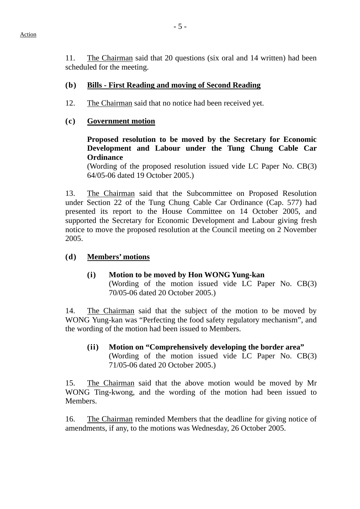11. The Chairman said that 20 questions (six oral and 14 written) had been scheduled for the meeting.

#### **(b) Bills - First Reading and moving of Second Reading**

12. The Chairman said that no notice had been received yet.

#### **(c) Government motion**

**Proposed resolution to be moved by the Secretary for Economic Development and Labour under the Tung Chung Cable Car Ordinance** 

(Wording of the proposed resolution issued vide LC Paper No. CB(3) 64/05-06 dated 19 October 2005.)

13. The Chairman said that the Subcommittee on Proposed Resolution under Section 22 of the Tung Chung Cable Car Ordinance (Cap. 577) had presented its report to the House Committee on 14 October 2005, and supported the Secretary for Economic Development and Labour giving fresh notice to move the proposed resolution at the Council meeting on 2 November 2005.

#### **(d) Members' motions**

 **(i) Motion to be moved by Hon WONG Yung-kan**  (Wording of the motion issued vide LC Paper No. CB(3) 70/05-06 dated 20 October 2005.)

14. The Chairman said that the subject of the motion to be moved by WONG Yung-kan was "Perfecting the food safety regulatory mechanism", and the wording of the motion had been issued to Members.

**(ii) Motion on "Comprehensively developing the border area"**  (Wording of the motion issued vide LC Paper No. CB(3) 71/05-06 dated 20 October 2005.)

15. The Chairman said that the above motion would be moved by Mr WONG Ting-kwong, and the wording of the motion had been issued to **Members** 

16. The Chairman reminded Members that the deadline for giving notice of amendments, if any, to the motions was Wednesday, 26 October 2005.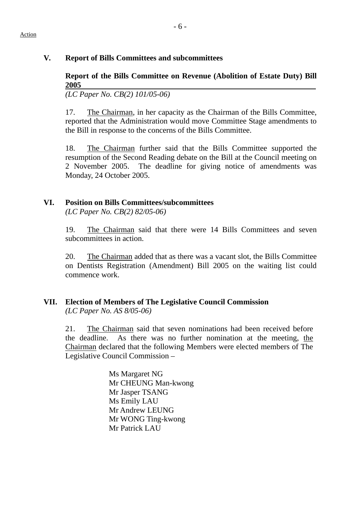## **V. Report of Bills Committees and subcommittees**

## **Report of the Bills Committee on Revenue (Abolition of Estate Duty) Bill 2005**

*(LC Paper No. CB(2) 101/05-06)* 

17. The Chairman, in her capacity as the Chairman of the Bills Committee, reported that the Administration would move Committee Stage amendments to the Bill in response to the concerns of the Bills Committee.

18. The Chairman further said that the Bills Committee supported the resumption of the Second Reading debate on the Bill at the Council meeting on 2 November 2005. The deadline for giving notice of amendments was Monday, 24 October 2005.

## **VI. Position on Bills Committees/subcommittees**

*(LC Paper No. CB(2) 82/05-06)* 

19. The Chairman said that there were 14 Bills Committees and seven subcommittees in action.

20. The Chairman added that as there was a vacant slot, the Bills Committee on Dentists Registration (Amendment) Bill 2005 on the waiting list could commence work.

## **VII. Election of Members of The Legislative Council Commission**  *(LC Paper No. AS 8/05-06)*

21. The Chairman said that seven nominations had been received before the deadline. As there was no further nomination at the meeting, the Chairman declared that the following Members were elected members of The Legislative Council Commission –

> Ms Margaret NG Mr CHEUNG Man-kwong Mr Jasper TSANG Ms Emily LAU Mr Andrew LEUNG Mr WONG Ting-kwong Mr Patrick LAU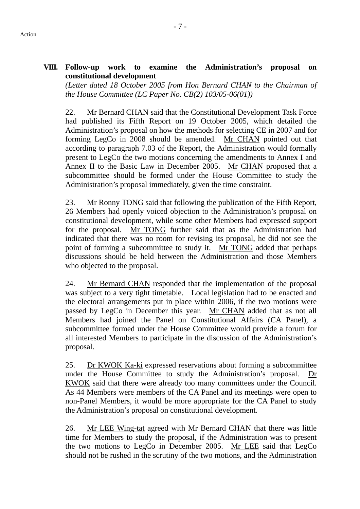### **VIII. Follow-up work to examine the Administration's proposal on constitutional development**

*(Letter dated 18 October 2005 from Hon Bernard CHAN to the Chairman of the House Committee (LC Paper No. CB(2) 103/05-06(01))* 

22. Mr Bernard CHAN said that the Constitutional Development Task Force had published its Fifth Report on 19 October 2005, which detailed the Administration's proposal on how the methods for selecting CE in 2007 and for forming LegCo in 2008 should be amended. Mr CHAN pointed out that according to paragraph 7.03 of the Report, the Administration would formally present to LegCo the two motions concerning the amendments to Annex I and Annex II to the Basic Law in December 2005. Mr CHAN proposed that a subcommittee should be formed under the House Committee to study the Administration's proposal immediately, given the time constraint.

23. Mr Ronny TONG said that following the publication of the Fifth Report, 26 Members had openly voiced objection to the Administration's proposal on constitutional development, while some other Members had expressed support for the proposal. Mr TONG further said that as the Administration had indicated that there was no room for revising its proposal, he did not see the point of forming a subcommittee to study it. Mr TONG added that perhaps discussions should be held between the Administration and those Members who objected to the proposal.

24. Mr Bernard CHAN responded that the implementation of the proposal was subject to a very tight timetable. Local legislation had to be enacted and the electoral arrangements put in place within 2006, if the two motions were passed by LegCo in December this year. Mr CHAN added that as not all Members had joined the Panel on Constitutional Affairs (CA Panel), a subcommittee formed under the House Committee would provide a forum for all interested Members to participate in the discussion of the Administration's proposal.

25. Dr KWOK Ka-ki expressed reservations about forming a subcommittee under the House Committee to study the Administration's proposal. Dr KWOK said that there were already too many committees under the Council. As 44 Members were members of the CA Panel and its meetings were open to non-Panel Members, it would be more appropriate for the CA Panel to study the Administration's proposal on constitutional development.

26. Mr LEE Wing-tat agreed with Mr Bernard CHAN that there was little time for Members to study the proposal, if the Administration was to present the two motions to LegCo in December 2005. Mr LEE said that LegCo should not be rushed in the scrutiny of the two motions, and the Administration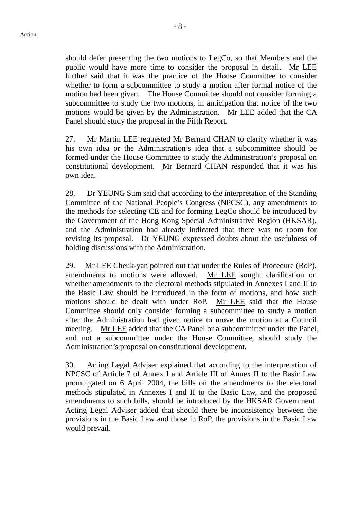should defer presenting the two motions to LegCo, so that Members and the public would have more time to consider the proposal in detail. Mr LEE further said that it was the practice of the House Committee to consider whether to form a subcommittee to study a motion after formal notice of the motion had been given. The House Committee should not consider forming a subcommittee to study the two motions, in anticipation that notice of the two motions would be given by the Administration. Mr LEE added that the CA Panel should study the proposal in the Fifth Report.

27. Mr Martin LEE requested Mr Bernard CHAN to clarify whether it was his own idea or the Administration's idea that a subcommittee should be formed under the House Committee to study the Administration's proposal on constitutional development. Mr Bernard CHAN responded that it was his own idea.

28. Dr YEUNG Sum said that according to the interpretation of the Standing Committee of the National People's Congress (NPCSC), any amendments to the methods for selecting CE and for forming LegCo should be introduced by the Government of the Hong Kong Special Administrative Region (HKSAR), and the Administration had already indicated that there was no room for revising its proposal. Dr YEUNG expressed doubts about the usefulness of holding discussions with the Administration.

29. Mr LEE Cheuk-yan pointed out that under the Rules of Procedure (RoP), amendments to motions were allowed. Mr LEE sought clarification on whether amendments to the electoral methods stipulated in Annexes I and II to the Basic Law should be introduced in the form of motions, and how such motions should be dealt with under RoP. Mr LEE said that the House Committee should only consider forming a subcommittee to study a motion after the Administration had given notice to move the motion at a Council meeting. Mr LEE added that the CA Panel or a subcommittee under the Panel. and not a subcommittee under the House Committee, should study the Administration's proposal on constitutional development.

30. Acting Legal Adviser explained that according to the interpretation of NPCSC of Article 7 of Annex I and Article III of Annex II to the Basic Law promulgated on 6 April 2004, the bills on the amendments to the electoral methods stipulated in Annexes I and II to the Basic Law, and the proposed amendments to such bills, should be introduced by the HKSAR Government. Acting Legal Adviser added that should there be inconsistency between the provisions in the Basic Law and those in RoP, the provisions in the Basic Law would prevail.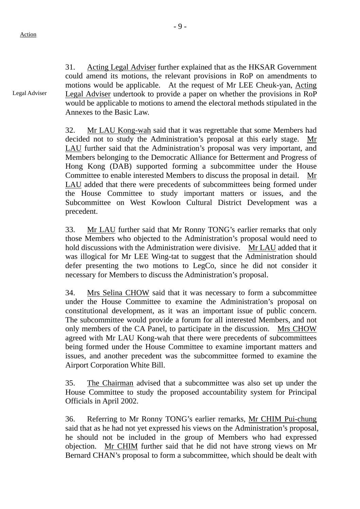31. Acting Legal Adviser further explained that as the HKSAR Government could amend its motions, the relevant provisions in RoP on amendments to motions would be applicable. At the request of Mr LEE Cheuk-yan, Acting Legal Adviser undertook to provide a paper on whether the provisions in RoP would be applicable to motions to amend the electoral methods stipulated in the Annexes to the Basic Law. Legal Adviser

> 32. Mr LAU Kong-wah said that it was regrettable that some Members had decided not to study the Administration's proposal at this early stage. Mr LAU further said that the Administration's proposal was very important, and Members belonging to the Democratic Alliance for Betterment and Progress of Hong Kong (DAB) supported forming a subcommittee under the House Committee to enable interested Members to discuss the proposal in detail. Mr LAU added that there were precedents of subcommittees being formed under the House Committee to study important matters or issues, and the Subcommittee on West Kowloon Cultural District Development was a precedent.

> 33. Mr LAU further said that Mr Ronny TONG's earlier remarks that only those Members who objected to the Administration's proposal would need to hold discussions with the Administration were divisive. Mr LAU added that it was illogical for Mr LEE Wing-tat to suggest that the Administration should defer presenting the two motions to LegCo, since he did not consider it necessary for Members to discuss the Administration's proposal.

> 34. Mrs Selina CHOW said that it was necessary to form a subcommittee under the House Committee to examine the Administration's proposal on constitutional development, as it was an important issue of public concern. The subcommittee would provide a forum for all interested Members, and not only members of the CA Panel, to participate in the discussion. Mrs CHOW agreed with Mr LAU Kong-wah that there were precedents of subcommittees being formed under the House Committee to examine important matters and issues, and another precedent was the subcommittee formed to examine the Airport Corporation White Bill.

> 35. The Chairman advised that a subcommittee was also set up under the House Committee to study the proposed accountability system for Principal Officials in April 2002.

> 36. Referring to Mr Ronny TONG's earlier remarks, Mr CHIM Pui-chung said that as he had not yet expressed his views on the Administration's proposal, he should not be included in the group of Members who had expressed objection. Mr CHIM further said that he did not have strong views on Mr Bernard CHAN's proposal to form a subcommittee, which should be dealt with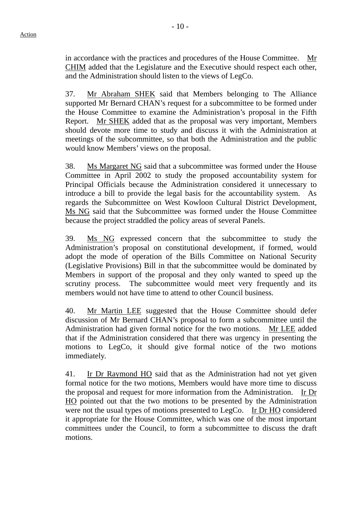in accordance with the practices and procedures of the House Committee. Mr CHIM added that the Legislature and the Executive should respect each other, and the Administration should listen to the views of LegCo.

37. Mr Abraham SHEK said that Members belonging to The Alliance supported Mr Bernard CHAN's request for a subcommittee to be formed under the House Committee to examine the Administration's proposal in the Fifth Report. Mr SHEK added that as the proposal was very important, Members should devote more time to study and discuss it with the Administration at meetings of the subcommittee, so that both the Administration and the public would know Members' views on the proposal.

38. Ms Margaret NG said that a subcommittee was formed under the House Committee in April 2002 to study the proposed accountability system for Principal Officials because the Administration considered it unnecessary to introduce a bill to provide the legal basis for the accountability system. As regards the Subcommittee on West Kowloon Cultural District Development, Ms NG said that the Subcommittee was formed under the House Committee because the project straddled the policy areas of several Panels.

39. Ms NG expressed concern that the subcommittee to study the Administration's proposal on constitutional development, if formed, would adopt the mode of operation of the Bills Committee on National Security (Legislative Provisions) Bill in that the subcommittee would be dominated by Members in support of the proposal and they only wanted to speed up the scrutiny process. The subcommittee would meet very frequently and its members would not have time to attend to other Council business.

40. Mr Martin LEE suggested that the House Committee should defer discussion of Mr Bernard CHAN's proposal to form a subcommittee until the Administration had given formal notice for the two motions. Mr LEE added that if the Administration considered that there was urgency in presenting the motions to LegCo, it should give formal notice of the two motions immediately.

41. Ir Dr Raymond HO said that as the Administration had not yet given formal notice for the two motions, Members would have more time to discuss the proposal and request for more information from the Administration. Ir Dr HO pointed out that the two motions to be presented by the Administration were not the usual types of motions presented to LegCo. Ir Dr HO considered it appropriate for the House Committee, which was one of the most important committees under the Council, to form a subcommittee to discuss the draft motions.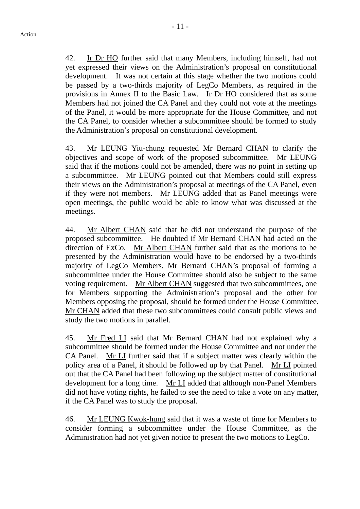42. Ir Dr HO further said that many Members, including himself, had not yet expressed their views on the Administration's proposal on constitutional development. It was not certain at this stage whether the two motions could be passed by a two-thirds majority of LegCo Members, as required in the provisions in Annex II to the Basic Law. Ir Dr HO considered that as some Members had not joined the CA Panel and they could not vote at the meetings of the Panel, it would be more appropriate for the House Committee, and not the CA Panel, to consider whether a subcommittee should be formed to study the Administration's proposal on constitutional development.

43. Mr LEUNG Yiu-chung requested Mr Bernard CHAN to clarify the objectives and scope of work of the proposed subcommittee. Mr LEUNG said that if the motions could not be amended, there was no point in setting up a subcommittee. Mr LEUNG pointed out that Members could still express their views on the Administration's proposal at meetings of the CA Panel, even if they were not members. Mr LEUNG added that as Panel meetings were open meetings, the public would be able to know what was discussed at the meetings.

44. Mr Albert CHAN said that he did not understand the purpose of the proposed subcommittee. He doubted if Mr Bernard CHAN had acted on the direction of ExCo. Mr Albert CHAN further said that as the motions to be presented by the Administration would have to be endorsed by a two-thirds majority of LegCo Members, Mr Bernard CHAN's proposal of forming a subcommittee under the House Committee should also be subject to the same voting requirement. Mr Albert CHAN suggested that two subcommittees, one for Members supporting the Administration's proposal and the other for Members opposing the proposal, should be formed under the House Committee. Mr CHAN added that these two subcommittees could consult public views and study the two motions in parallel.

45. Mr Fred LI said that Mr Bernard CHAN had not explained why a subcommittee should be formed under the House Committee and not under the CA Panel. Mr LI further said that if a subject matter was clearly within the policy area of a Panel, it should be followed up by that Panel. Mr LI pointed out that the CA Panel had been following up the subject matter of constitutional development for a long time. Mr LI added that although non-Panel Members did not have voting rights, he failed to see the need to take a vote on any matter, if the CA Panel was to study the proposal.

46. Mr LEUNG Kwok-hung said that it was a waste of time for Members to consider forming a subcommittee under the House Committee, as the Administration had not yet given notice to present the two motions to LegCo.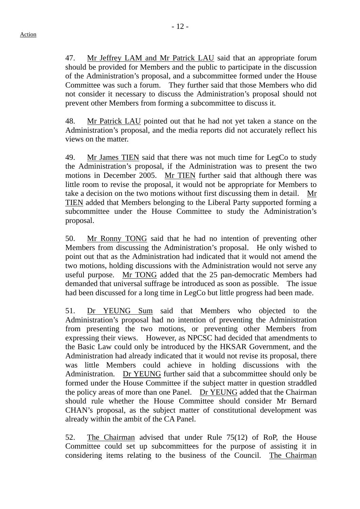47. Mr Jeffrey LAM and Mr Patrick LAU said that an appropriate forum should be provided for Members and the public to participate in the discussion of the Administration's proposal, and a subcommittee formed under the House Committee was such a forum. They further said that those Members who did not consider it necessary to discuss the Administration's proposal should not prevent other Members from forming a subcommittee to discuss it.

48. Mr Patrick LAU pointed out that he had not yet taken a stance on the Administration's proposal, and the media reports did not accurately reflect his views on the matter.

49. Mr James TIEN said that there was not much time for LegCo to study the Administration's proposal, if the Administration was to present the two motions in December 2005. Mr TIEN further said that although there was little room to revise the proposal, it would not be appropriate for Members to take a decision on the two motions without first discussing them in detail. Mr TIEN added that Members belonging to the Liberal Party supported forming a subcommittee under the House Committee to study the Administration's proposal.

50. Mr Ronny TONG said that he had no intention of preventing other Members from discussing the Administration's proposal. He only wished to point out that as the Administration had indicated that it would not amend the two motions, holding discussions with the Administration would not serve any useful purpose. Mr TONG added that the 25 pan-democratic Members had demanded that universal suffrage be introduced as soon as possible. The issue had been discussed for a long time in LegCo but little progress had been made.

51. Dr YEUNG Sum said that Members who objected to the Administration's proposal had no intention of preventing the Administration from presenting the two motions, or preventing other Members from expressing their views. However, as NPCSC had decided that amendments to the Basic Law could only be introduced by the HKSAR Government, and the Administration had already indicated that it would not revise its proposal, there was little Members could achieve in holding discussions with the Administration. Dr YEUNG further said that a subcommittee should only be formed under the House Committee if the subject matter in question straddled the policy areas of more than one Panel. Dr YEUNG added that the Chairman should rule whether the House Committee should consider Mr Bernard CHAN's proposal, as the subject matter of constitutional development was already within the ambit of the CA Panel.

52. The Chairman advised that under Rule 75(12) of RoP, the House Committee could set up subcommittees for the purpose of assisting it in considering items relating to the business of the Council. The Chairman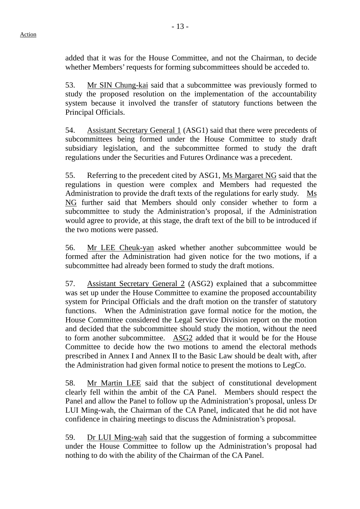added that it was for the House Committee, and not the Chairman, to decide whether Members' requests for forming subcommittees should be acceded to.

53. Mr SIN Chung-kai said that a subcommittee was previously formed to study the proposed resolution on the implementation of the accountability system because it involved the transfer of statutory functions between the Principal Officials.

54. Assistant Secretary General 1 (ASG1) said that there were precedents of subcommittees being formed under the House Committee to study draft subsidiary legislation, and the subcommittee formed to study the draft regulations under the Securities and Futures Ordinance was a precedent.

55. Referring to the precedent cited by ASG1, Ms Margaret NG said that the regulations in question were complex and Members had requested the Administration to provide the draft texts of the regulations for early study. Ms NG further said that Members should only consider whether to form a subcommittee to study the Administration's proposal, if the Administration would agree to provide, at this stage, the draft text of the bill to be introduced if the two motions were passed.

56. Mr LEE Cheuk-yan asked whether another subcommittee would be formed after the Administration had given notice for the two motions, if a subcommittee had already been formed to study the draft motions.

57. Assistant Secretary General 2 (ASG2) explained that a subcommittee was set up under the House Committee to examine the proposed accountability system for Principal Officials and the draft motion on the transfer of statutory functions. When the Administration gave formal notice for the motion, the House Committee considered the Legal Service Division report on the motion and decided that the subcommittee should study the motion, without the need to form another subcommittee. ASG2 added that it would be for the House Committee to decide how the two motions to amend the electoral methods prescribed in Annex I and Annex II to the Basic Law should be dealt with, after the Administration had given formal notice to present the motions to LegCo.

58. Mr Martin LEE said that the subject of constitutional development clearly fell within the ambit of the CA Panel. Members should respect the Panel and allow the Panel to follow up the Administration's proposal, unless Dr LUI Ming-wah, the Chairman of the CA Panel, indicated that he did not have confidence in chairing meetings to discuss the Administration's proposal.

59. Dr LUI Ming-wah said that the suggestion of forming a subcommittee under the House Committee to follow up the Administration's proposal had nothing to do with the ability of the Chairman of the CA Panel.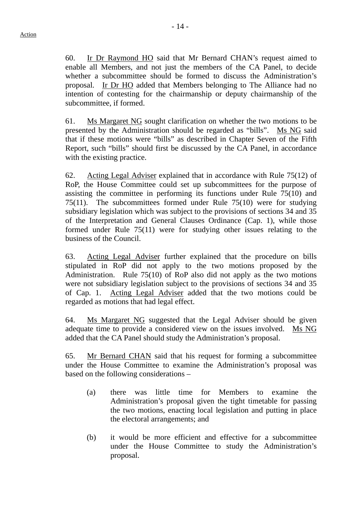60. Ir Dr Raymond HO said that Mr Bernard CHAN's request aimed to enable all Members, and not just the members of the CA Panel, to decide whether a subcommittee should be formed to discuss the Administration's proposal. Ir Dr HO added that Members belonging to The Alliance had no intention of contesting for the chairmanship or deputy chairmanship of the subcommittee, if formed.

61. Ms Margaret NG sought clarification on whether the two motions to be presented by the Administration should be regarded as "bills". Ms NG said that if these motions were "bills" as described in Chapter Seven of the Fifth Report, such "bills" should first be discussed by the CA Panel, in accordance with the existing practice.

62. Acting Legal Adviser explained that in accordance with Rule 75(12) of RoP, the House Committee could set up subcommittees for the purpose of assisting the committee in performing its functions under Rule 75(10) and 75(11). The subcommittees formed under Rule 75(10) were for studying subsidiary legislation which was subject to the provisions of sections 34 and 35 of the Interpretation and General Clauses Ordinance (Cap. 1), while those formed under Rule 75(11) were for studying other issues relating to the business of the Council.

63. Acting Legal Adviser further explained that the procedure on bills stipulated in RoP did not apply to the two motions proposed by the Administration. Rule 75(10) of RoP also did not apply as the two motions were not subsidiary legislation subject to the provisions of sections 34 and 35 of Cap. 1. Acting Legal Adviser added that the two motions could be regarded as motions that had legal effect.

64. Ms Margaret NG suggested that the Legal Adviser should be given adequate time to provide a considered view on the issues involved. Ms NG added that the CA Panel should study the Administration's proposal.

65. Mr Bernard CHAN said that his request for forming a subcommittee under the House Committee to examine the Administration's proposal was based on the following considerations –

- (a) there was little time for Members to examine the Administration's proposal given the tight timetable for passing the two motions, enacting local legislation and putting in place the electoral arrangements; and
- (b) it would be more efficient and effective for a subcommittee under the House Committee to study the Administration's proposal.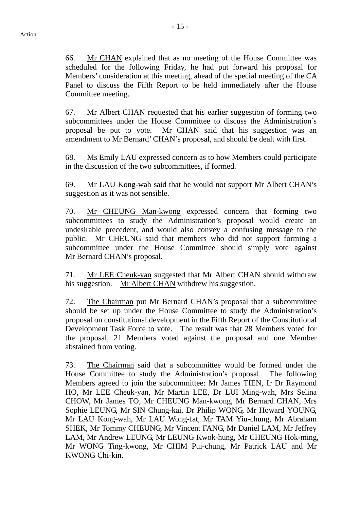66. Mr CHAN explained that as no meeting of the House Committee was scheduled for the following Friday, he had put forward his proposal for Members' consideration at this meeting, ahead of the special meeting of the CA Panel to discuss the Fifth Report to be held immediately after the House Committee meeting.

67. Mr Albert CHAN requested that his earlier suggestion of forming two subcommittees under the House Committee to discuss the Administration's proposal be put to vote. Mr CHAN said that his suggestion was an amendment to Mr Bernard' CHAN's proposal, and should be dealt with first.

68. Ms Emily LAU expressed concern as to how Members could participate in the discussion of the two subcommittees, if formed.

69. Mr LAU Kong-wah said that he would not support Mr Albert CHAN's suggestion as it was not sensible.

70. Mr CHEUNG Man-kwong expressed concern that forming two subcommittees to study the Administration's proposal would create an undesirable precedent, and would also convey a confusing message to the public. Mr CHEUNG said that members who did not support forming a subcommittee under the House Committee should simply vote against Mr Bernard CHAN's proposal.

71. Mr LEE Cheuk-yan suggested that Mr Albert CHAN should withdraw his suggestion. Mr Albert CHAN withdrew his suggestion.

72. The Chairman put Mr Bernard CHAN's proposal that a subcommittee should be set up under the House Committee to study the Administration's proposal on constitutional development in the Fifth Report of the Constitutional Development Task Force to vote. The result was that 28 Members voted for the proposal, 21 Members voted against the proposal and one Member abstained from voting.

73. The Chairman said that a subcommittee would be formed under the House Committee to study the Administration's proposal. The following Members agreed to join the subcommittee: Mr James TIEN, Ir Dr Raymond HO, Mr LEE Cheuk-yan, Mr Martin LEE, Dr LUI Ming-wah, Mrs Selina CHOW, Mr James TO, Mr CHEUNG Man-kwong, Mr Bernard CHAN, Mrs Sophie LEUNG, Mr SIN Chung-kai, Dr Philip WONG, Mr Howard YOUNG, Mr LAU Kong-wah, Mr LAU Wong-fat, Mr TAM Yiu-chung, Mr Abraham SHEK, Mr Tommy CHEUNG, Mr Vincent FANG, Mr Daniel LAM, Mr Jeffrey LAM, Mr Andrew LEUNG, Mr LEUNG Kwok-hung, Mr CHEUNG Hok-ming, Mr WONG Ting-kwong, Mr CHIM Pui-chung, Mr Patrick LAU and Mr KWONG Chi-kin.